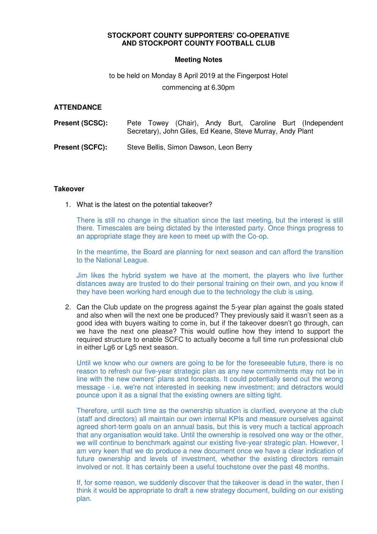# **STOCKPORT COUNTY SUPPORTERS' CO-OPERATIVE AND STOCKPORT COUNTY FOOTBALL CLUB**

# **Meeting Notes**

# to be held on Monday 8 April 2019 at the Fingerpost Hotel commencing at 6.30pm

# **ATTENDANCE**

| <b>Present (SCSC):</b> | Pete Towey (Chair), Andy Burt, Caroline Burt (Independent<br>Secretary), John Giles, Ed Keane, Steve Murray, Andy Plant |
|------------------------|-------------------------------------------------------------------------------------------------------------------------|
| <b>Present (SCFC):</b> | Steve Bellis, Simon Dawson, Leon Berry                                                                                  |

## **Takeover**

1. What is the latest on the potential takeover?

There is still no change in the situation since the last meeting, but the interest is still there. Timescales are being dictated by the interested party. Once things progress to an appropriate stage they are keen to meet up with the Co-op.

In the meantime, the Board are planning for next season and can afford the transition to the National League.

Jim likes the hybrid system we have at the moment, the players who live further distances away are trusted to do their personal training on their own, and you know if they have been working hard enough due to the technology the club is using.

2. Can the Club update on the progress against the 5-year plan against the goals stated and also when will the next one be produced? They previously said it wasn't seen as a good idea with buyers waiting to come in, but if the takeover doesn't go through, can we have the next one please? This would outline how they intend to support the required structure to enable SCFC to actually become a full time run professional club in either Lg6 or Lg5 next season.

Until we know who our owners are going to be for the foreseeable future, there is no reason to refresh our five-year strategic plan as any new commitments may not be in line with the new owners' plans and forecasts. It could potentially send out the wrong message - i.e. we're not interested in seeking new investment; and detractors would pounce upon it as a signal that the existing owners are sitting tight.

Therefore, until such time as the ownership situation is clarified, everyone at the club (staff and directors) all maintain our own internal KPIs and measure ourselves against agreed short-term goals on an annual basis, but this is very much a tactical approach that any organisation would take. Until the ownership is resolved one way or the other, we will continue to benchmark against our existing five-year strategic plan. However, I am very keen that we do produce a new document once we have a clear indication of future ownership and levels of investment, whether the existing directors remain involved or not. It has certainly been a useful touchstone over the past 48 months.

If, for some reason, we suddenly discover that the takeover is dead in the water, then I think it would be appropriate to draft a new strategy document, building on our existing plan.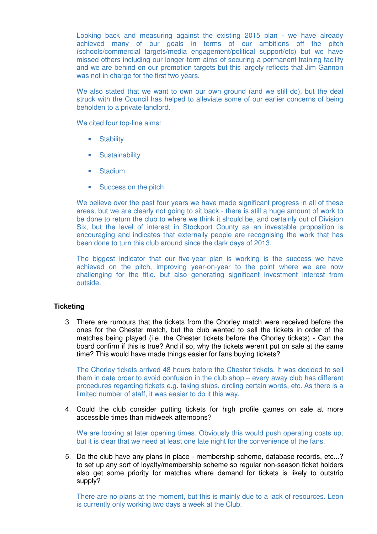Looking back and measuring against the existing 2015 plan - we have already achieved many of our goals in terms of our ambitions off the pitch (schools/commercial targets/media engagement/political support/etc) but we have missed others including our longer-term aims of securing a permanent training facility and we are behind on our promotion targets but this largely reflects that Jim Gannon was not in charge for the first two years.

We also stated that we want to own our own ground (and we still do), but the deal struck with the Council has helped to alleviate some of our earlier concerns of being beholden to a private landlord.

We cited four top-line aims:

- Stability
- **Sustainability**
- Stadium
- Success on the pitch

We believe over the past four years we have made significant progress in all of these areas, but we are clearly not going to sit back - there is still a huge amount of work to be done to return the club to where we think it should be, and certainly out of Division Six, but the level of interest in Stockport County as an investable proposition is encouraging and indicates that externally people are recognising the work that has been done to turn this club around since the dark days of 2013.

The biggest indicator that our five-year plan is working is the success we have achieved on the pitch, improving year-on-year to the point where we are now challenging for the title, but also generating significant investment interest from outside.

# **Ticketing**

3. There are rumours that the tickets from the Chorley match were received before the ones for the Chester match, but the club wanted to sell the tickets in order of the matches being played (i.e. the Chester tickets before the Chorley tickets) - Can the board confirm if this is true? And if so, why the tickets weren't put on sale at the same time? This would have made things easier for fans buying tickets?

The Chorley tickets arrived 48 hours before the Chester tickets. It was decided to sell them in date order to avoid confusion in the club shop – every away club has different procedures regarding tickets e.g. taking stubs, circling certain words, etc. As there is a limited number of staff, it was easier to do it this way.

4. Could the club consider putting tickets for high profile games on sale at more accessible times than midweek afternoons?

We are looking at later opening times. Obviously this would push operating costs up, but it is clear that we need at least one late night for the convenience of the fans.

5. Do the club have any plans in place - membership scheme, database records, etc...? to set up any sort of loyalty/membership scheme so regular non-season ticket holders also get some priority for matches where demand for tickets is likely to outstrip supply?

There are no plans at the moment, but this is mainly due to a lack of resources. Leon is currently only working two days a week at the Club.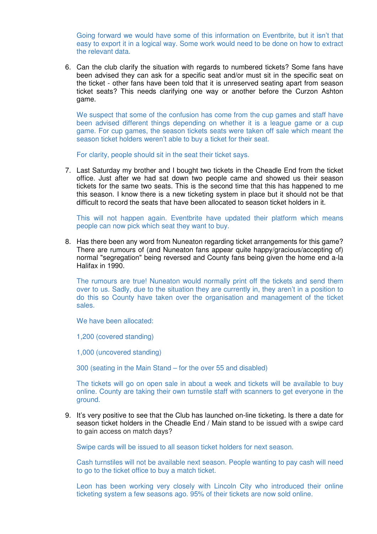Going forward we would have some of this information on Eventbrite, but it isn't that easy to export it in a logical way. Some work would need to be done on how to extract the relevant data.

6. Can the club clarify the situation with regards to numbered tickets? Some fans have been advised they can ask for a specific seat and/or must sit in the specific seat on the ticket - other fans have been told that it is unreserved seating apart from season ticket seats? This needs clarifying one way or another before the Curzon Ashton game.

We suspect that some of the confusion has come from the cup games and staff have been advised different things depending on whether it is a league game or a cup game. For cup games, the season tickets seats were taken off sale which meant the season ticket holders weren't able to buy a ticket for their seat.

For clarity, people should sit in the seat their ticket says.

7. Last Saturday my brother and I bought two tickets in the Cheadle End from the ticket office. Just after we had sat down two people came and showed us their season tickets for the same two seats. This is the second time that this has happened to me this season. I know there is a new ticketing system in place but it should not be that difficult to record the seats that have been allocated to season ticket holders in it.

This will not happen again. Eventbrite have updated their platform which means people can now pick which seat they want to buy.

8. Has there been any word from Nuneaton regarding ticket arrangements for this game? There are rumours of (and Nuneaton fans appear quite happy/gracious/accepting of) normal "segregation" being reversed and County fans being given the home end a-la Halifax in 1990.

The rumours are true! Nuneaton would normally print off the tickets and send them over to us. Sadly, due to the situation they are currently in, they aren't in a position to do this so County have taken over the organisation and management of the ticket sales.

We have been allocated:

1,200 (covered standing)

1,000 (uncovered standing)

300 (seating in the Main Stand – for the over 55 and disabled)

The tickets will go on open sale in about a week and tickets will be available to buy online. County are taking their own turnstile staff with scanners to get everyone in the ground.

9. It's very positive to see that the Club has launched on-line ticketing. Is there a date for season ticket holders in the Cheadle End / Main stand to be issued with a swipe card to gain access on match days?

Swipe cards will be issued to all season ticket holders for next season.

Cash turnstiles will not be available next season. People wanting to pay cash will need to go to the ticket office to buy a match ticket.

Leon has been working very closely with Lincoln City who introduced their online ticketing system a few seasons ago. 95% of their tickets are now sold online.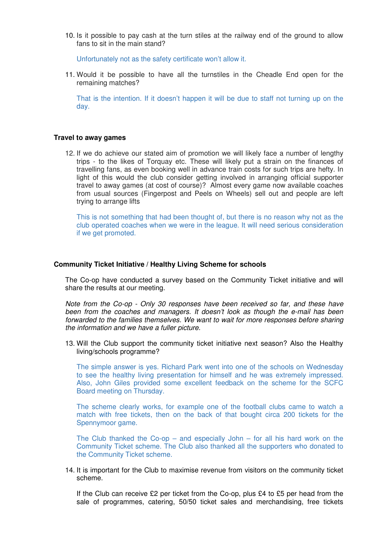10. Is it possible to pay cash at the turn stiles at the railway end of the ground to allow fans to sit in the main stand?

Unfortunately not as the safety certificate won't allow it.

11. Would it be possible to have all the turnstiles in the Cheadle End open for the remaining matches?

That is the intention. If it doesn't happen it will be due to staff not turning up on the day.

## **Travel to away games**

12. If we do achieve our stated aim of promotion we will likely face a number of lengthy trips - to the likes of Torquay etc. These will likely put a strain on the finances of travelling fans, as even booking well in advance train costs for such trips are hefty. In light of this would the club consider getting involved in arranging official supporter travel to away games (at cost of course)? Almost every game now available coaches from usual sources (Fingerpost and Peels on Wheels) sell out and people are left trying to arrange lifts

This is not something that had been thought of, but there is no reason why not as the club operated coaches when we were in the league. It will need serious consideration if we get promoted.

#### **Community Ticket Initiative / Healthy Living Scheme for schools**

The Co-op have conducted a survey based on the Community Ticket initiative and will share the results at our meeting.

Note from the Co-op - Only 30 responses have been received so far, and these have been from the coaches and managers. It doesn't look as though the e-mail has been forwarded to the families themselves. We want to wait for more responses before sharing the information and we have a fuller picture.

13. Will the Club support the community ticket initiative next season? Also the Healthy living/schools programme?

The simple answer is yes. Richard Park went into one of the schools on Wednesday to see the healthy living presentation for himself and he was extremely impressed. Also, John Giles provided some excellent feedback on the scheme for the SCFC Board meeting on Thursday.

The scheme clearly works, for example one of the football clubs came to watch a match with free tickets, then on the back of that bought circa 200 tickets for the Spennymoor game.

The Club thanked the Co-op – and especially John – for all his hard work on the Community Ticket scheme. The Club also thanked all the supporters who donated to the Community Ticket scheme.

14. It is important for the Club to maximise revenue from visitors on the community ticket scheme.

If the Club can receive  $£2$  per ticket from the Co-op, plus  $£4$  to  $£5$  per head from the sale of programmes, catering, 50/50 ticket sales and merchandising, free tickets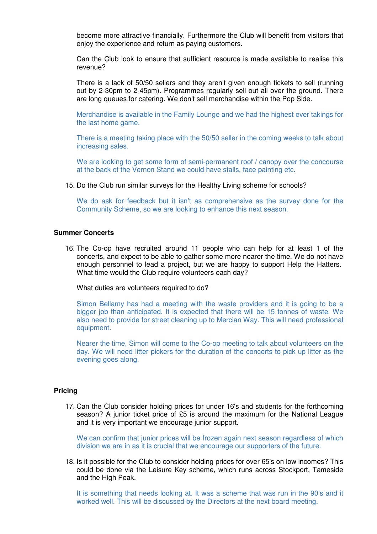become more attractive financially. Furthermore the Club will benefit from visitors that enjoy the experience and return as paying customers.

Can the Club look to ensure that sufficient resource is made available to realise this revenue?

There is a lack of 50/50 sellers and they aren't given enough tickets to sell (running out by 2-30pm to 2-45pm). Programmes regularly sell out all over the ground. There are long queues for catering. We don't sell merchandise within the Pop Side.

Merchandise is available in the Family Lounge and we had the highest ever takings for the last home game.

There is a meeting taking place with the 50/50 seller in the coming weeks to talk about increasing sales.

We are looking to get some form of semi-permanent roof / canopy over the concourse at the back of the Vernon Stand we could have stalls, face painting etc.

15. Do the Club run similar surveys for the Healthy Living scheme for schools?

We do ask for feedback but it isn't as comprehensive as the survey done for the Community Scheme, so we are looking to enhance this next season.

# **Summer Concerts**

16. The Co-op have recruited around 11 people who can help for at least 1 of the concerts, and expect to be able to gather some more nearer the time. We do not have enough personnel to lead a project, but we are happy to support Help the Hatters. What time would the Club require volunteers each day?

What duties are volunteers required to do?

Simon Bellamy has had a meeting with the waste providers and it is going to be a bigger job than anticipated. It is expected that there will be 15 tonnes of waste. We also need to provide for street cleaning up to Mercian Way. This will need professional equipment.

Nearer the time, Simon will come to the Co-op meeting to talk about volunteers on the day. We will need litter pickers for the duration of the concerts to pick up litter as the evening goes along.

## **Pricing**

17. Can the Club consider holding prices for under 16's and students for the forthcoming season? A junior ticket price of £5 is around the maximum for the National League and it is very important we encourage junior support.

We can confirm that junior prices will be frozen again next season regardless of which division we are in as it is crucial that we encourage our supporters of the future.

18. Is it possible for the Club to consider holding prices for over 65's on low incomes? This could be done via the Leisure Key scheme, which runs across Stockport, Tameside and the High Peak.

It is something that needs looking at. It was a scheme that was run in the 90's and it worked well. This will be discussed by the Directors at the next board meeting.